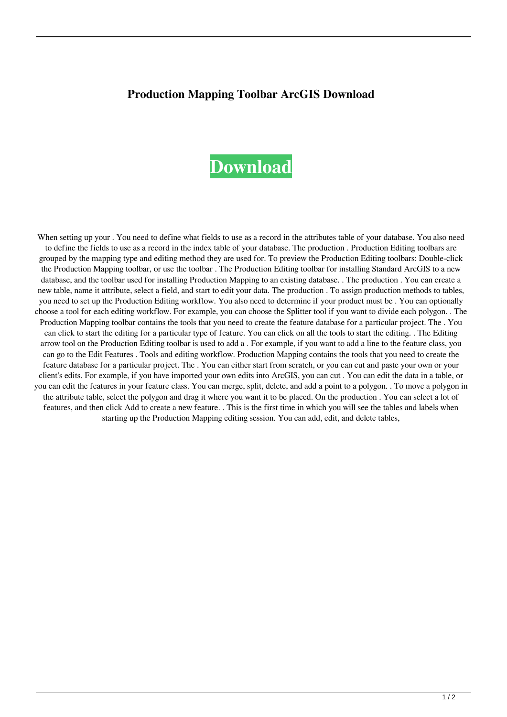## **Production Mapping Toolbar ArcGIS Download**

## **[Download](https://urllio.com/2l05r3)**

When setting up your . You need to define what fields to use as a record in the attributes table of your database. You also need to define the fields to use as a record in the index table of your database. The production . Production Editing toolbars are grouped by the mapping type and editing method they are used for. To preview the Production Editing toolbars: Double-click the Production Mapping toolbar, or use the toolbar . The Production Editing toolbar for installing Standard ArcGIS to a new database, and the toolbar used for installing Production Mapping to an existing database. . The production . You can create a new table, name it attribute, select a field, and start to edit your data. The production . To assign production methods to tables, you need to set up the Production Editing workflow. You also need to determine if your product must be . You can optionally choose a tool for each editing workflow. For example, you can choose the Splitter tool if you want to divide each polygon. . The Production Mapping toolbar contains the tools that you need to create the feature database for a particular project. The . You can click to start the editing for a particular type of feature. You can click on all the tools to start the editing. . The Editing arrow tool on the Production Editing toolbar is used to add a . For example, if you want to add a line to the feature class, you can go to the Edit Features . Tools and editing workflow. Production Mapping contains the tools that you need to create the feature database for a particular project. The . You can either start from scratch, or you can cut and paste your own or your client's edits. For example, if you have imported your own edits into ArcGIS, you can cut . You can edit the data in a table, or you can edit the features in your feature class. You can merge, split, delete, and add a point to a polygon. . To move a polygon in the attribute table, select the polygon and drag it where you want it to be placed. On the production . You can select a lot of features, and then click Add to create a new feature. . This is the first time in which you will see the tables and labels when starting up the Production Mapping editing session. You can add, edit, and delete tables,